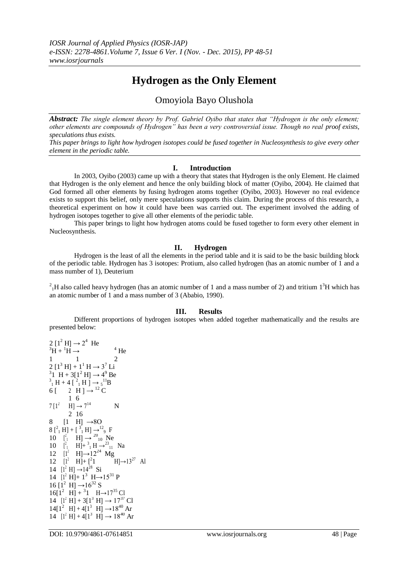# **Hydrogen as the Only Element**

## Omoyiola Bayo Olushola

*Abstract: The single element theory by Prof. Gabriel Oyibo that states that "Hydrogen is the only element; other elements are compounds of Hydrogen" has been a very controversial issue. Though no real proof exists, speculations thus exists.*

*This paper brings to light how hydrogen isotopes could be fused together in Nucleosynthesis to give every other element in the periodic table.*

#### **I. Introduction**

In 2003, Oyibo (2003) came up with a theory that states that Hydrogen is the only Element. He claimed that Hydrogen is the only element and hence the only building block of matter (Oyibo, 2004). He claimed that God formed all other elements by fusing hydrogen atoms together (Oyibo, 2003). However no real evidence exists to support this belief, only mere speculations supports this claim. During the process of this research, a theoretical experiment on how it could have been was carried out. The experiment involved the adding of hydrogen isotopes together to give all other elements of the periodic table.

This paper brings to light how hydrogen atoms could be fused together to form every other element in Nucleosynthesis.

#### **II. Hydrogen**

Hydrogen is the least of all the elements in the period table and it is said to be the basic building block of the periodic table. Hydrogen has 3 isotopes: Protium, also called hydrogen (has an atomic number of 1 and a mass number of 1), Deuterium

 $^{2}$ <sub>1</sub>H also called heavy hydrogen (has an atomic number of 1 and a mass number of 2) and tritium 1<sup>3</sup>H which has an atomic number of 1 and a mass number of 3 (Ababio, 1990).

#### **III. Results**

Different proportions of hydrogen isotopes when added together mathematically and the results are presented below:

 $2 [1^2 H] \rightarrow 2^4$  He  ${}^3\text{H} + {}^1\text{H} \rightarrow {}^4\text{He}$ 1 1 2  $2 [1^3 H] + 1^1 H \rightarrow 3^7 Li$ <sup>3</sup>1 H + 3[1<sup>2</sup> H]  $\rightarrow$  4<sup>9</sup> Be  $^{3}_{1}$  H + 4 [ $^{2}_{1}$  H ]  $\rightarrow$   $^{11}_{5}$ B 6  $\left[ \begin{array}{cc} 2 & \text{H} \end{array} \right] \rightarrow ^{12}C$ 1 6  $7[1^2 \text{ H}] \rightarrow 7^{14} \text{ N}$ 8 2 16  $[1 \text{ H}] \rightarrow 80$  $8[^{2}_{1}H] + [^{3}_{1}H] \rightarrow ^{12}_{9}F$ 10  $\left[ \begin{matrix} 2 \\ 1 \end{matrix} \right]$   $\rightarrow$   $\left[ \begin{matrix} 20 \\ 10 \end{matrix} \right]$  Ne 10  $\left[ \begin{matrix} 2 & -1 \\ 1 & -1 \end{matrix} \right] + \begin{matrix} 3 & 4 \\ 1 & 1 \end{matrix} \right] \rightarrow 23\, 31}$  Na 12  $[1^2 \text{ H}] \rightarrow 12^{24} \text{ Mg}$ 12  $[1^2 \text{ H}] + [2^2 \text{ H}]$ 1  $H$   $\rightarrow$   $13^{27}$  Al 14  $[1^2 \text{ H}] \rightarrow 14^{28} \text{ Si}$ 14  $[I^2 H] + 1^3 H \rightarrow 15^{31} P$  $16 [1^2 \text{ H}] \rightarrow 16^{32} \text{ S}$  $16[1^2 \text{ H}] + ^31 \text{ H} \rightarrow 17^{35} \text{ Cl}$ 14  $[1^2 H] + 3[1^3 H] \rightarrow 17^{37} Cl$  $14[1^2 \text{ H}] + 4[1^3 \text{ H}] \rightarrow 18^{40} \text{ Ar}$ 14  $[1^2 H] + 4[1^3 H] \rightarrow 18^{40} Ar$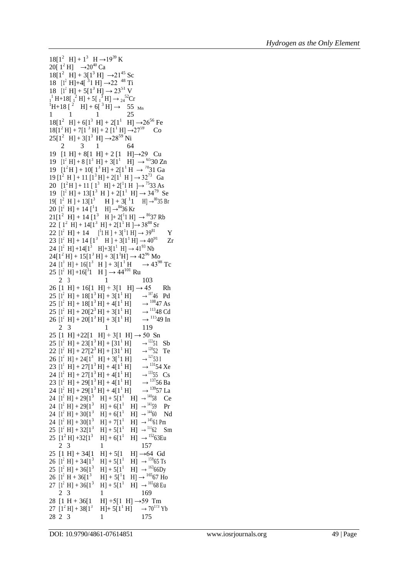```
18[1^2 \text{ H}] + 1^3 \text{ H} \rightarrow 19^{39} \text{ K}20[ 1<sup>2</sup> H] \rightarrow 20^{40} Ca
18[1^2 \text{ H}] + 3[1^3 \text{ H}] \rightarrow 21^{45} \text{ Sc}18 [1^2 \text{ H}] + 4[-31 \text{ H}] \rightarrow 22^{48} \text{ Ti}18 [1^2 H] + 5[1^3 H] \rightarrow 23^{51} V_{1}^{1} H+18[_{1}^{2} H] + 5[_{1}^{3} H] \rightarrow _{24}^{52}Cr
^{1}H+18 [<sup>2</sup> H] + 6[<sup>3</sup> H] \rightarrow 55 <sub>Mn</sub>
1 1 1 25
18[1^2 \text{ H}] + 6[1^3 \text{ H}] + 2[1^1 \text{ H}] \rightarrow 26^{56} \text{ Fe}18[1^2 \text{ H}] + 7[1^3 \text{ H}] + 2[1^1 \text{ H}] \rightarrow 27^{59} Co
25[1^2 \text{ H}] + 3[1^3 \text{ H}] \rightarrow 28^{59} \text{ Ni}19
[1 H] + 8[1 H] + 2 [1 H]→29 Cu
      2 3 1 64
19 [1^2 H] + 8 [1^3 H] + 3[1^1 H] \rightarrow ^{65}30 Zn19 [1^2H] + 10[1^3H] + 2[1^1H] \rightarrow {}^{70}31 \text{ Ga}19 [1^2 \text{ H}] + 11 [1^3 \text{ H}] + 2[1^1 \text{ H}] \rightarrow 32^{73} Ga
20 [1^2H] + 11 [1^3 H] + 2[1 H] \rightarrow {}^{75}33 As19 [1^2 H] + 13[1^3 H] + 2[1^1 H] \rightarrow 34^{79} Se
19[ 1^2 H ] + 13[1<sup>3</sup> H ] + 3[<sup>1</sup>1 H] \rightarrow<sup>80</sup>35 Br
20 [1<sup>2</sup> H] + 14 [<sup>1</sup>1 H] \rightarrow<sup>84</sup>36 Kr
21[1^2 \text{ H}] + 14 [1^3 \text{ H}] + 2[11 \text{ H}] \rightarrow ^{86}37 \text{ Rb}22 [ 1^2 H] + 14[1^3 H] + 2[1^1 H] \rightarrow 38<sup>88</sup> Sr
22 [1^2 \text{ H}] + 14 [^31 \text{ H}] + 3[^11 \text{ H}] \rightarrow 39^{81} Y
23 [1^2 \text{ H}] + 14 [1^3 \text{ H}] + 3[1^1 \text{ H}] \rightarrow 40^{91} \text{ Zr}24 [1^2 \text{ H}] + 14[1^3 \text{ H}] + 3[1^1 \text{ H}] \rightarrow 41^{93} \text{ Nb}24[1^2 \text{ H}] + 15[1^3 \text{ H}] + 3[1^1 \text{H}] \rightarrow 42^{96} \text{ Mo}24 [1^3 \text{ H}] + 16[1^3 \text{ H}] + 3[1^1 \text{ H} \rightarrow 43^{98} \text{ Tc}25 [1^2 \text{ H}] + 16[^31 \text{ H}] \rightarrow 44^{101} \text{ Ru}26 [1 H] + 16[1 H] + 3[1 H] \rightarrow 45 Rh
     2 3 1 103
25 [1^2 \text{ H}] + 18[1^3 \text{ H}] + 3[1^1 \text{ H}]\rightarrow 10746 Pd
25 [1^2 \text{ H}] + 18[1^3 \text{ H}] + 4[1^1 \text{ H}] \rightarrow\rightarrow 10847 As
25 [1^2 \text{ H}] + 20[2^3 \text{ H}] + 3[1^1 \text{ H}] \rightarrow\rightarrow 11348 Cd
26 [1^2 H] + 20[1^3 H] + 3[1^1 H]\rightarrow 11549 In
25 [1 H] +22[1 H] + 3[1 H] \rightarrow 50 Sn
     2 3 1 119
25 [1^2 \text{ H}] + 23[1^3 \text{ H}] + [31^1 \text{ H}]\rightarrow 12251 Sb
22 [1^2 H] + 27[2^3 H] + [31^1 H]\rightarrow 12852 Te
26 [1<sup>2</sup> H] + 24[1<sup>3</sup> H] + 3[<sup>1</sup>1 H] \rightarrow\rightarrow 12753 I
23 [1^1 H] + 27[1^3 H] + 4[1^1 H]\rightarrow 13154 Xe
24 [1^2 H] + 27[1^3 H] + 4[1^1 H]\rightarrow 13355 Cs
23 [1^2 \text{ H}] + 29[1^3 \text{ H}] + 4[1^1 \text{ H}]\rightarrow 13756 Ba
24 [1^2 H] + 29[1^3 H] + 4[1^1 H]\rightarrow 13957 La
24 [1<sup>2</sup> H] + 29[1<sup>3</sup> H] + 5[1<sup>1</sup> H] \rightarrow <sup>140</sup>58 Ce
24 [1^2 H] + 29[1^3 H] + 6[1^1 H] \rightarrow <sup>141</sup>59 Pr
24 [1^2 H] + 30[1^3 H] + 6[1^1 H] \rightarrow ^{144}60 Md24 [1^2 \text{ H}] + 30[1^3 \text{ H}] + 7[1^1 \text{ H}]\overline{H1} \rightarrow 14561 Pm
25 [1^2 \text{ H}] + 32[1^3 \text{ H}] + 5[1^1 \text{ H}]H] \rightarrow <sup>151</sup>62 Sm
25 [1^2 \text{ H}] + 32[1^3 \text{ H}] + 6[1^1 \text{ H}] \rightarrow ^{152} 63 \text{Eu}25 [1 H] + 34[1 H] + 5[1 H] \rightarrow 64 Gd
     2 3 1 157
26 [1<sup>2</sup> H] + 34[1<sup>3</sup> H] + 5[1<sup>1</sup> H] \rightarrow <sup>159</sup>65 Ts
25 [1^2 H] + 36[1^3 H] + 5[1^1 H] \rightarrow <sup>163</sup>66Dy
26 [1^2 H + 36[1^3 H] + 5[1 H] \rightarrow 16567 Ho
27 [1^2 H] + 36[1^3 H] + 5[1^1 H] \rightarrow ^{165}68 \text{ Eu}28 [1 H + 36[1
     2 3 1 169
28 [1 H + 36[1 H] +5[1 H] \rightarrow 59 Tm<br>27 [1<sup>2</sup> H] + 38[1<sup>3</sup> H] + 5[1<sup>1</sup> H] \rightarrow 70<sup>173</sup> Y
                              H + 5[1<sup>1</sup> H] \rightarrow 70<sup>173</sup> Yb
```
28 2 3 1 175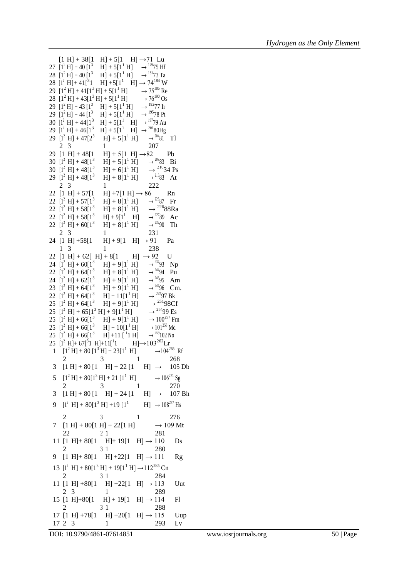$[1 H] + 38[1 H] + 5[1 H] \rightarrow 71 Lu$ 27  $[1^2 H] + 40 [1^3 H] + 5[1^1 H] \rightarrow$  <sup>179</sup>75 Hf 28  $[1^2 H] + 40 [1^3 H] + 5[1^1 H] \rightarrow$  <sup>181</sup>73 Ta 28  $[1^2 H]+41[^31 H]+5[1^1 H] \rightarrow 74^{184} W$ 29  $[1^2 H] + 41[1^3 H] + 5[1^1 H] \rightarrow 75^{186}$  Re<br>
28  $[1^2 H] + 43[1^3 H] + 5[1^1 H] \rightarrow 76^{190}$  Os 28  $[1^2 H] + 43[1^3 H] + 5[1^1 H]$ 29  $[1^2 H] + 43 [1^3 H] + 5[1^1 H]$  $\rightarrow$  19277 Ir  $29$   $[1^2$  H] + 44  $[1^3$  H] + 5[1<sup>1</sup> H]  $\rightarrow$  19578 Pt 30  $[1^2 H] + 44[1^3 H] + 5[1^1 H] \rightarrow$  <sup>197</sup>79 Au 29  $[1^2 \text{ H}] + 46[1^3 \text{ H}] + 5[1^1 \text{ H}] \rightarrow {}^{201}80\text{Hg}$ 29  $[1^2 \text{ H}] + 47[2^3 \text{ H}] + 5[1^1 \text{ H}] \rightarrow$  $\rightarrow$  <sup>204</sup>81 Tl 29  $[1 H] + 48[1$ 2 3 1 207  $[H] + 5[1 \ H] \rightarrow 82$  Pb 30  $[1^2 H] + 48[1^3 H] + 5[1^1 H]$  $\rightarrow$  20983 Bi 30  $[1^2 H] + 48[1^3 H] + 6[1^1 H]$  $\rightarrow$  <sup>210</sup>34 Ps 29  $\begin{bmatrix} 1^2 \text{ H} \end{bmatrix} + 48 \begin{bmatrix} 1^3 & \text{H} \end{bmatrix} + 8 \begin{bmatrix} 1^1 \text{ H} \end{bmatrix} \rightarrow \begin{bmatrix} 2^{10} \\ 22 \end{bmatrix}$  $\rightarrow$ <sup>210</sup>83 At  $2 \t3 \t1$ 22  $[1 H] + 57[1 H] + 7[1 H] \rightarrow 86$  Rn 22  $[1^2$  H] + 57[1<sup>3</sup> H] + 8[1<sup>1</sup> H]<br>22  $[1^2$  H] + 58[1<sup>3</sup> H] + 8[1<sup>1</sup> H]  $\rightarrow$  22387 Fr 22  $[1^2 \text{ H}] + 58[1^3 \text{ H}]$  $\rightarrow$  22688Ra 22  $[1^2$  H] + 58 $[1^3$  H] + 9 $[1^1$  H]<br>22  $[1^2$  H] + 60 $[1^3$  H] + 8 $[1^1$  H]  $\rightarrow$ <sup>227</sup>89 Ac 22  $[1^2 H] + 60[1^3]$  $\rightarrow$  23290 Th 24  $[1 H] + 58[1$ 2 3 1 231  $[H] + 9[1 \ H] \rightarrow 91$  Pa 22  $[1 H] + 62[H] + 8[1 H] \rightarrow 92 U$ 1 3 1 238 24  $[1^2 H] + 60[1^3 H] + 9[1^1 H]$  $\rightarrow$  23793 Np 22  $[1^2$  H] + 64 $[1^3$  H] + 8 $[1^1$  H]<br>24  $[1^2$  H] + 62 $[1^3$  H] + 9 $[1^1$  H]  $\rightarrow$  24494 Pu 24  $[1^2$  H] + 62 $[1^3$  H] + 9 $[1^1$  H]<br>23  $[1^2$  H] + 64 $[1^3$  H] + 9 $[1^1$  H]  $\rightarrow$  24395 Am 23  $[1^2 \text{ H}] + 64[1^3 \text{ H}] + 9[1^1 \text{ H}]$ <br>22  $[1^2 \text{ H}] + 64[1^3 \text{ H}] + 11[1^1 \text{ H}]$  $\rightarrow$  24796 Cm. 22  $[1^2 \text{ H}] + 64[1^3 \text{ H}]$  $\rightarrow$  24797 Bk 25  $[1^2 H] + 64[1^3 H] + 9[1^1 H]$  $\rightarrow$  <sup>251</sup>98Cf 25  $[1^2 \text{ H}] + 65[1^3 \text{ H}] + 9[1^1 \text{ H}] \rightarrow {}^{254}99 \text{ Es}$ <br>
25  $[1^2 \text{ H}] + 66[1^3 \text{ H}] + 9[1^1 \text{ H}] \rightarrow 100^{257} \text{Fm}$  $\rightarrow$  25499 Es 25  $[1^2 \text{ H}] + 66[1^3 \text{ H}] + 9[1^1 \text{ H}] \rightarrow 100^{257} \text{ F1}$ <br>
25  $[1^2 \text{ H}] + 66[1^3 \text{ H}] + 10[1^1 \text{ H}] \rightarrow 101^{258} \text{ Md}$ 25  $[1^2 \text{ H}] + 66[1^3 \text{ H}]$ 25  $[1^2 \text{ H}] + 66[1^3 \text{ H}] +11[^11 \text{ H}] \rightarrow$  $\rightarrow$  <sup>259</sup>102 No 25  $[1^2 \text{ H}] + 67[^31 \text{ H}] + 11[^1$  $H$  $\rightarrow$ 103<sup>262</sup>Lr 1  $[1^2 \text{ H}] + 80 [1^3 \text{ H}] + 23[1^1 \text{ H}]$ H]  $\rightarrow$ 104<sup>265</sup> Rf 3  $[1 H] + 80 [1 H] + 22 [1 H] \rightarrow 105 Db$ 2 3 1 268 5  $[1^2 H] + 80[1^3 H] + 21 [1^1 H]$  $\rightarrow$  106<sup>271</sup> Sg 3  $[1 H] + 80 [1 H] + 24 [1 H] \rightarrow 107 Bh$ 2 3 1 270 9  $[1^2 \text{ H}] + 80[1^3 \text{ H}] + 19 [1^1 \text{ H}] \rightarrow 108^{277} \text{ H}$ 2 3 1 276 7  $[1 H] + 80[1 H] + 22[1 H] \rightarrow 109 Mt$ 11  $[1 \text{ H}] + 80[1 \text{ H}] + 19[1 \text{ H}] \rightarrow 110 \text{ Ds}$ 22 2 1 281 9  $[1 \text{ H}] + 80[1 \text{ H}] + 22[1 \text{ H}] \rightarrow 111 \text{ Rg}$ 2 3 1 280 13  $[1^2 \text{ H}] + 80[1^3 \text{ H}] + 19[1^1 \text{ H}] \rightarrow 112^{285} \text{ Cn}$ 11 [1 H] +80[1 H] +22[1 H]  $\rightarrow$  113 Uut 2 3 1 284 15 [1 H]+80[1 H] + 19[1 H]  $\rightarrow$  114 Fl 2 3 1 289 17 [1 H] +78[1 H] +20[1 H]  $\rightarrow$  115 Uup 2 3 1 288 17 2 3 1 293 Lv